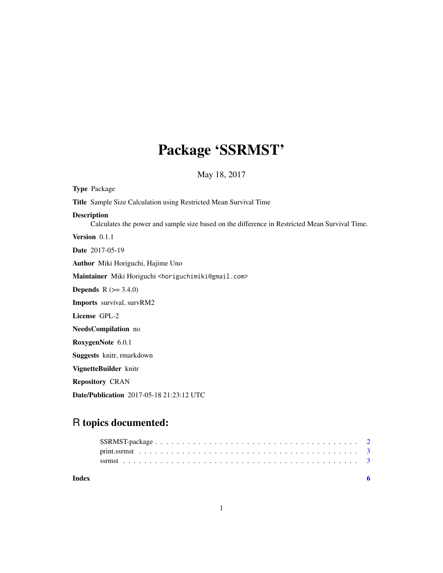## Package 'SSRMST'

May 18, 2017

Type Package Title Sample Size Calculation using Restricted Mean Survival Time Description Calculates the power and sample size based on the difference in Restricted Mean Survival Time. Version 0.1.1 Date 2017-05-19 Author Miki Horiguchi, Hajime Uno Maintainer Miki Horiguchi <horiguchimiki@gmail.com> **Depends**  $R (= 3.4.0)$ Imports survival, survRM2 License GPL-2 NeedsCompilation no RoxygenNote 6.0.1 Suggests knitr, rmarkdown VignetteBuilder knitr Repository CRAN Date/Publication 2017-05-18 21:23:12 UTC

### R topics documented:

| Index |  |
|-------|--|
|       |  |
|       |  |
|       |  |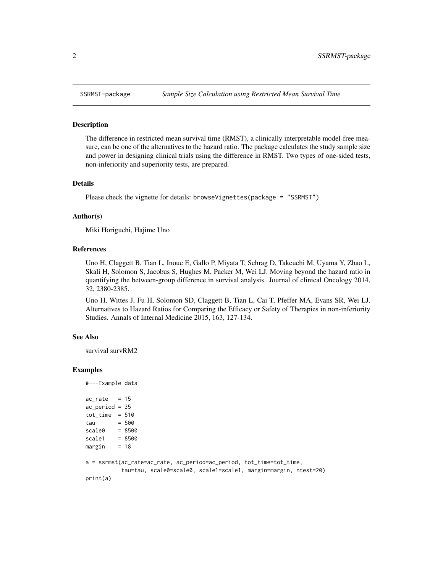#### Description

The difference in restricted mean survival time (RMST), a clinically interpretable model-free measure, can be one of the alternatives to the hazard ratio. The package calculates the study sample size and power in designing clinical trials using the difference in RMST. Two types of one-sided tests, non-inferiority and superiority tests, are prepared.

#### Details

Please check the vignette for details: browseVignettes(package = "SSRMST")

#### Author(s)

Miki Horiguchi, Hajime Uno

#### References

Uno H, Claggett B, Tian L, Inoue E, Gallo P, Miyata T, Schrag D, Takeuchi M, Uyama Y, Zhao L, Skali H, Solomon S, Jacobus S, Hughes M, Packer M, Wei LJ. Moving beyond the hazard ratio in quantifying the between-group difference in survival analysis. Journal of clinical Oncology 2014, 32, 2380-2385.

Uno H, Wittes J, Fu H, Solomon SD, Claggett B, Tian L, Cai T, Pfeffer MA, Evans SR, Wei LJ. Alternatives to Hazard Ratios for Comparing the Efficacy or Safety of Therapies in non-inferiority Studies. Annals of Internal Medicine 2015, 163, 127-134.

#### See Also

survival survRM2

#### Examples

```
#---Example data
ac_rate = 15ac_period = 35
tot_time = 510tau = 500<br>scale0 = 8500scale0
scale1 = 8500margin = 18a = ssrmst(ac_rate=ac_rate, ac_period=ac_period, tot_time=tot_time,
           tau=tau, scale0=scale0, scale1=scale1, margin=margin, ntest=20)
print(a)
```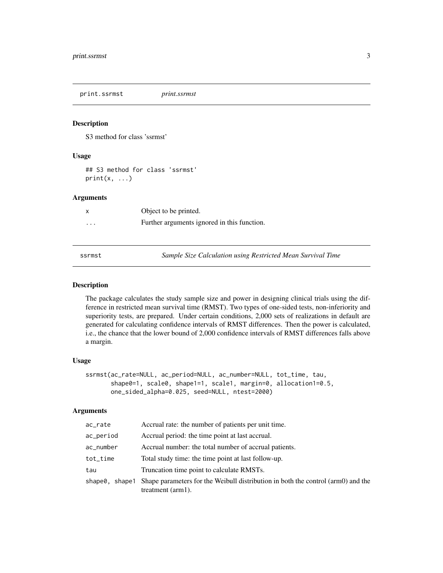<span id="page-2-0"></span>print.ssrmst *print.ssrmst*

#### Description

S3 method for class 'ssrmst'

#### Usage

## S3 method for class 'ssrmst'  $print(x, \ldots)$ 

#### Arguments

|          | Object to be printed.                       |
|----------|---------------------------------------------|
| $\cdots$ | Further arguments ignored in this function. |

ssrmst *Sample Size Calculation using Restricted Mean Survival Time*

#### Description

The package calculates the study sample size and power in designing clinical trials using the difference in restricted mean survival time (RMST). Two types of one-sided tests, non-inferiority and superiority tests, are prepared. Under certain conditions, 2,000 sets of realizations in default are generated for calculating confidence intervals of RMST differences. Then the power is calculated, i.e., the chance that the lower bound of 2,000 confidence intervals of RMST differences falls above a margin.

#### Usage

```
ssrmst(ac_rate=NULL, ac_period=NULL, ac_number=NULL, tot_time, tau,
       shape0=1, scale0, shape1=1, scale1, margin=0, allocation1=0.5,
       one_sided_alpha=0.025, seed=NULL, ntest=2000)
```
#### Arguments

| Accrual rate: the number of patients per unit time.                                                            |
|----------------------------------------------------------------------------------------------------------------|
| Accrual period: the time point at last accrual.                                                                |
| Accrual number: the total number of accrual patients.                                                          |
| Total study time: the time point at last follow-up.                                                            |
| Truncation time point to calculate RMSTs.                                                                      |
| Shape parameters for the Weibull distribution in both the control (arm0) and the<br>treatment $(\text{arm1}).$ |
|                                                                                                                |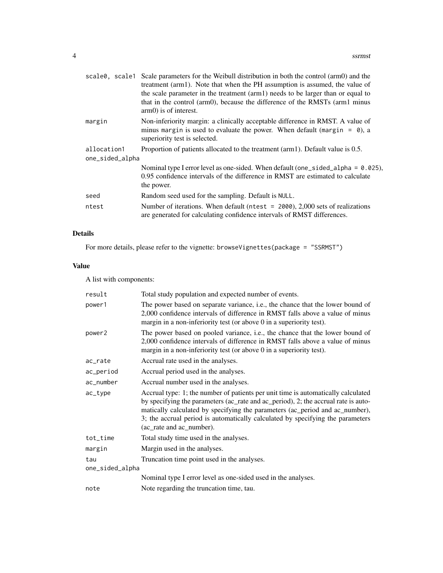|                                | scale 0, scale 1 Scale parameters for the Weibull distribution in both the control (arm0) and the<br>treatment (arm1). Note that when the PH assumption is assumed, the value of<br>the scale parameter in the treatment (arm1) needs to be larger than or equal to<br>that in the control (arm0), because the difference of the RMSTs (arm1 minus<br>arm0) is of interest. |
|--------------------------------|-----------------------------------------------------------------------------------------------------------------------------------------------------------------------------------------------------------------------------------------------------------------------------------------------------------------------------------------------------------------------------|
| margin                         | Non-inferiority margin: a clinically acceptable difference in RMST. A value of<br>minus margin is used to evaluate the power. When default (margin = $\theta$ ), a<br>superiority test is selected.                                                                                                                                                                         |
| allocation1<br>one_sided_alpha | Proportion of patients allocated to the treatment (arm1). Default value is 0.5.                                                                                                                                                                                                                                                                                             |
|                                | Nominal type I error level as one-sided. When default (one_sided_alpha = $0.025$ ),<br>0.95 confidence intervals of the difference in RMST are estimated to calculate<br>the power.                                                                                                                                                                                         |
| seed                           | Random seed used for the sampling. Default is NULL.                                                                                                                                                                                                                                                                                                                         |
| ntest                          | Number of iterations. When default ( $ntest = 2000$ ), 2,000 sets of realizations<br>are generated for calculating confidence intervals of RMST differences.                                                                                                                                                                                                                |
|                                |                                                                                                                                                                                                                                                                                                                                                                             |

#### Details

For more details, please refer to the vignette: browseVignettes(package = "SSRMST")

#### Value

A list with components:

| result          | Total study population and expected number of events.                                                                                                                                                                                                                                                                                                                 |  |  |
|-----------------|-----------------------------------------------------------------------------------------------------------------------------------------------------------------------------------------------------------------------------------------------------------------------------------------------------------------------------------------------------------------------|--|--|
| power1          | The power based on separate variance, <i>i.e.</i> , the chance that the lower bound of<br>2,000 confidence intervals of difference in RMST falls above a value of minus<br>margin in a non-inferiority test (or above 0 in a superiority test).                                                                                                                       |  |  |
| power2          | The power based on pooled variance, i.e., the chance that the lower bound of<br>2,000 confidence intervals of difference in RMST falls above a value of minus<br>margin in a non-inferiority test (or above 0 in a superiority test).                                                                                                                                 |  |  |
| ac_rate         | Accrual rate used in the analyses.                                                                                                                                                                                                                                                                                                                                    |  |  |
| ac_period       | Accrual period used in the analyses.                                                                                                                                                                                                                                                                                                                                  |  |  |
| ac_number       | Accrual number used in the analyses.                                                                                                                                                                                                                                                                                                                                  |  |  |
| ac_type         | Accrual type: 1; the number of patients per unit time is automatically calculated<br>by specifying the parameters (ac_rate and ac_period), 2; the accrual rate is auto-<br>matically calculated by specifying the parameters (ac_period and ac_number),<br>3; the accrual period is automatically calculated by specifying the parameters<br>(ac_rate and ac_number). |  |  |
| tot_time        | Total study time used in the analyses.                                                                                                                                                                                                                                                                                                                                |  |  |
| margin          | Margin used in the analyses.                                                                                                                                                                                                                                                                                                                                          |  |  |
| tau             | Truncation time point used in the analyses.                                                                                                                                                                                                                                                                                                                           |  |  |
| one_sided_alpha |                                                                                                                                                                                                                                                                                                                                                                       |  |  |
|                 | Nominal type I error level as one-sided used in the analyses.                                                                                                                                                                                                                                                                                                         |  |  |
| note            | Note regarding the truncation time, tau.                                                                                                                                                                                                                                                                                                                              |  |  |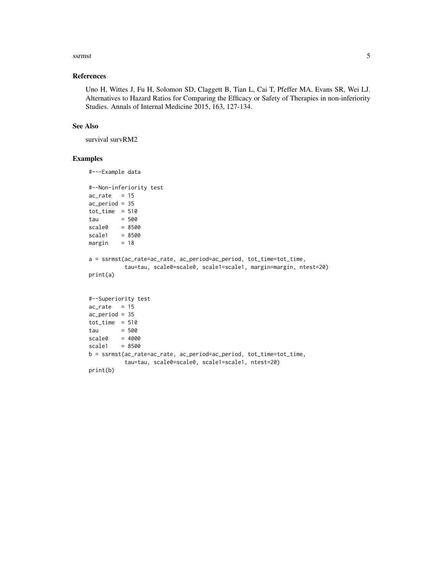#### ssrmst 5

#### References

Uno H, Wittes J, Fu H, Solomon SD, Claggett B, Tian L, Cai T, Pfeffer MA, Evans SR, Wei LJ. Alternatives to Hazard Ratios for Comparing the Efficacy or Safety of Therapies in non-inferiority Studies. Annals of Internal Medicine 2015, 163, 127-134.

#### See Also

survival survRM2

#### Examples

```
#---Example data
#--Non-inferiority test
ac_rate = 15ac_period = 35
tot_time = 510tau = 500
scale0 = 8500
scale1 = 8500margin = 18a = ssrmst(ac_rate=ac_rate, ac_period=ac_period, tot_time=tot_time,
          tau=tau, scale0=scale0, scale1=scale1, margin=margin, ntest=20)
print(a)
#--Superiority test
ac_rate = 15ac_period = 35
tot_time = 510tau = 500
scale@ = 4000scale1 = 8500b = ssrmst(ac_rate=ac_rate, ac_period=ac_period, tot_time=tot_time,
          tau=tau, scale0=scale0, scale1=scale1, ntest=20)
print(b)
```